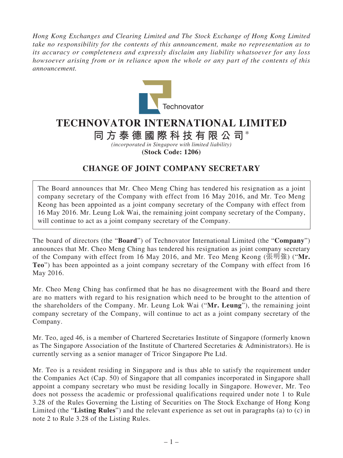*Hong Kong Exchanges and Clearing Limited and The Stock Exchange of Hong Kong Limited take no responsibility for the contents of this announcement, make no representation as to its accuracy or completeness and expressly disclaim any liability whatsoever for any loss howsoever arising from or in reliance upon the whole or any part of the contents of this announcement.*



## **TECHNOVATOR INTERNATIONAL LIMITED**

## **同方泰德國際科技有限公司**\*

*(incorporated in Singapore with limited liability)* **(Stock Code: 1206)**

## **CHANGE OF JOINT COMPANY SECRETARY**

The Board announces that Mr. Cheo Meng Ching has tendered his resignation as a joint company secretary of the Company with effect from 16 May 2016, and Mr. Teo Meng Keong has been appointed as a joint company secretary of the Company with effect from 16 May 2016. Mr. Leung Lok Wai, the remaining joint company secretary of the Company, will continue to act as a joint company secretary of the Company.

The board of directors (the "**Board**") of Technovator International Limited (the "**Company**") announces that Mr. Cheo Meng Ching has tendered his resignation as joint company secretary of the Company with effect from 16 May 2016, and Mr. Teo Meng Keong (張明強) ("**Mr. Teo**") has been appointed as a joint company secretary of the Company with effect from 16 May 2016.

Mr. Cheo Meng Ching has confirmed that he has no disagreement with the Board and there are no matters with regard to his resignation which need to be brought to the attention of the shareholders of the Company. Mr. Leung Lok Wai ("**Mr. Leung**"), the remaining joint company secretary of the Company, will continue to act as a joint company secretary of the Company.

Mr. Teo, aged 46, is a member of Chartered Secretaries Institute of Singapore (formerly known as The Singapore Association of the Institute of Chartered Secretaries & Administrators). He is currently serving as a senior manager of Tricor Singapore Pte Ltd.

Mr. Teo is a resident residing in Singapore and is thus able to satisfy the requirement under the Companies Act (Cap. 50) of Singapore that all companies incorporated in Singapore shall appoint a company secretary who must be residing locally in Singapore. However, Mr. Teo does not possess the academic or professional qualifications required under note 1 to Rule 3.28 of the Rules Governing the Listing of Securities on The Stock Exchange of Hong Kong Limited (the "**Listing Rules**") and the relevant experience as set out in paragraphs (a) to (c) in note 2 to Rule 3.28 of the Listing Rules.